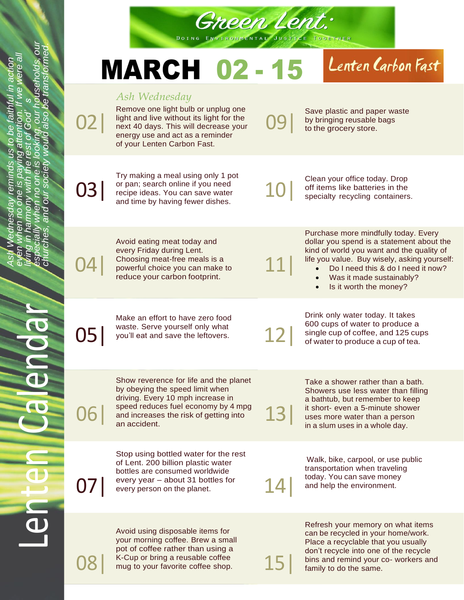

#### Lenten Carbon Fast MARCH 02 - 15

#### *Ash Wednesday*

Remove one light bulb or unplug one light and live without its light for the next 40 days. This will decrease your energy use and act as a reminder of your Lenten Carbon Fast.

Save plastic and paper waste by bringing reusable bags to the grocery store.

03|

02|

Try making a meal using only 1 pot or pan; search online if you need recipe ideas. You can save water and time by having fewer dishes.

10|

09|

Clean your office today. Drop off items like batteries in the specialty recycling containers.

04|

Avoid eating meat today and every Friday during Lent. Choosing meat-free meals is a powerful choice you can make to reduce your carbon footprint.

11|

Purchase more mindfully today. Every dollar you spend is a statement about the kind of world you want and the quality of life you value. Buy wisely, asking yourself:

- Do I need this & do I need it now?
- Was it made sustainably?
- Is it worth the money?

05|

06|

Lenten Calendar

07|

Make an effort to have zero food waste. Serve yourself only what you'll eat and save the leftovers.

12|

Drink only water today. It takes 600 cups of water to produce a single cup of coffee, and 125 cups of water to produce a cup of tea.

Take a shower rather than a bath.

Show reverence for life and the planet by obeying the speed limit when driving. Every 10 mph increase in speed reduces fuel economy by 4 mpg and increases the risk of getting into an accident.

Stop using bottled water for the rest of Lent. 200 billion plastic water bottles are consumed worldwide every year – about 31 bottles for every person on the planet.

13| Showers use less water than filling a bathtub, but remember to keep it short- even a 5-minute shower uses more water than a person in a slum uses in a whole day.

> Walk, bike, carpool, or use public transportation when traveling today. You can save money and help the environment.

08|

Avoid using disposable items for your morning coffee. Brew a small pot of coffee rather than using a K-Cup or bring a reusable coffee mug to your favorite coffee shop.

15|

14|

Refresh your memory on what items can be recycled in your home/work. Place a recyclable that you usually don't recycle into one of the recycle bins and remind your co- workers and family to do the same.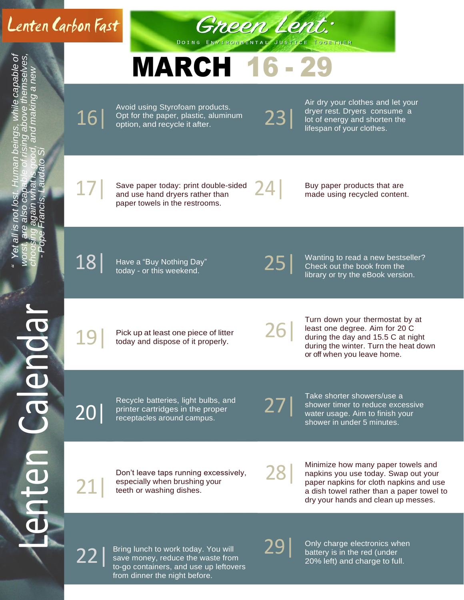### Lenten Carbon Fast



## MARCH 16 - 29

16|

Avoid using Styrofoam products. Avoid using Styroloam products.<br>Opt for the paper, plastic, aluminum  $23$ 

Air dry your clothes and let your dryer rest. Dryers consume a lot of energy and shorten the lifespan of your clothes.

17|

Save paper today: print double-sided and use hand dryers rather than paper towels in the restrooms.

24|

Buy paper products that are made using recycled content.

18

Have a "Buy Nothing Day" today - or this weekend.

25|

Wanting to read a new bestseller? Check out the book from the library or try the eBook version.

19|

Pick up at least one piece of litter today and dispose of it properly.

Turn down your thermostat by at least one degree. Aim for 20 C during the day and 15.5 C at night during the winter. Turn the heat down or off when you leave home.

20|

Recycle batteries, light bulbs, and printer cartridges in the proper receptacles around campus.

27|

26|

Take shorter showers/use a shower timer to reduce excessive water usage. Aim to finish your shower in under 5 minutes.

21|

Don't leave taps running excessively, especially when brushing your teeth or washing dishes.

28|

Minimize how many paper towels and napkins you use today. Swap out your paper napkins for cloth napkins and use a dish towel rather than a paper towel to dry your hands and clean up messes.

22|

Bring lunch to work today. You will save money, reduce the waste from to-go containers, and use up leftovers from dinner the night before.

29|

Only charge electronics when battery is in the red (under 20% left) and charge to full.

enda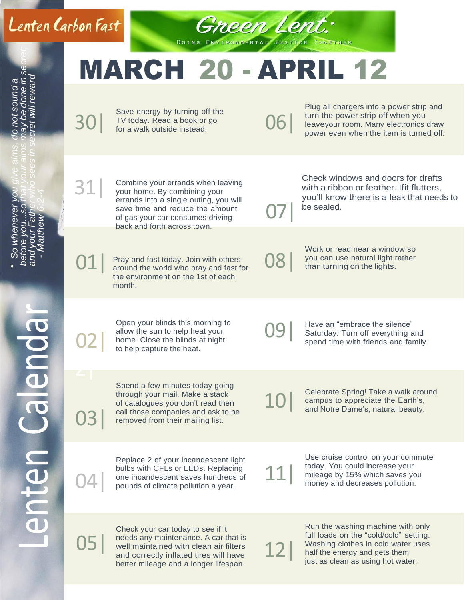#### Lenten Carbon Fast



07|

08|

)9

10|

# MARCH 20 - APRIL 12

30| Save energy by turning off the  $TV$  today. Read a book or go  $06$ 

Plug all chargers into a power strip and turn the power strip off when you leaveyour room. Many electronics draw power even when the item is turned off.

Combine your errands when leaving your home. By combining your errands into a single outing, you will save time and reduce the amount of gas your car consumes driving back and forth across town.

01| Pray and fast today. Join with others around the world who pray and fast for the environment on the 1st of each month.

Check windows and doors for drafts with a ribbon or feather. Ifit flutters, you'll know there is a leak that needs to be sealed.

Work or read near a window so you can use natural light rather than turning on the lights.

02|

03|

04|

31|

Open your blinds this morning to allow the sun to help heat your home. Close the blinds at night to help capture the heat.

Spend a few minutes today going through your mail. Make a stack of catalogues you don't read then call those companies and ask to be removed from their mailing list.

Have an "embrace the silence" Saturday: Turn off everything and spend time with friends and family.

Celebrate Spring! Take a walk around campus to appreciate the Earth's, and Notre Dame's, natural beauty.

Replace 2 of your incandescent light bulbs with CFLs or LEDs. Replacing one incandescent saves hundreds of pounds of climate pollution a year.

11|

Use cruise control on your commute today. You could increase your mileage by 15% which saves you money and decreases pollution.

05|

Check your car today to see if it needs any maintenance. A car that is well maintained with clean air filters and correctly inflated tires will have better mileage and a longer lifespan.

12|

Run the washing machine with only full loads on the "cold/cold" setting. Washing clothes in cold water uses half the energy and gets them just as clean as using hot water.

colenda

nter

 $\frac{1}{1}$